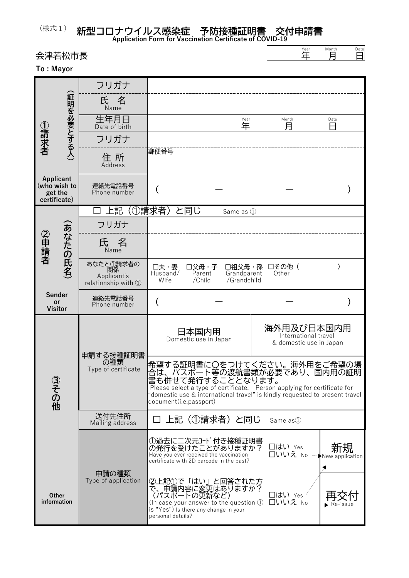**新型コロナウイルス感染症 予防接種証明書 交付申請書**

|                                                      | 会津若松市長      |                                                       | Year<br>年                                                                                                                                                                                                                                                             | Month<br>月 | Date<br>日                                                     |           |  |  |  |  |
|------------------------------------------------------|-------------|-------------------------------------------------------|-----------------------------------------------------------------------------------------------------------------------------------------------------------------------------------------------------------------------------------------------------------------------|------------|---------------------------------------------------------------|-----------|--|--|--|--|
| To: Mayor                                            |             |                                                       |                                                                                                                                                                                                                                                                       |            |                                                               |           |  |  |  |  |
|                                                      |             | フリガナ                                                  |                                                                                                                                                                                                                                                                       |            |                                                               |           |  |  |  |  |
| ①請求者                                                 | (証明を必要とする人) | 氏 名<br>Name                                           |                                                                                                                                                                                                                                                                       |            |                                                               |           |  |  |  |  |
|                                                      |             | 生年月日<br>Date of birth                                 | 年                                                                                                                                                                                                                                                                     | Year       | Month<br>月                                                    | Date<br>Н |  |  |  |  |
|                                                      |             | フリガナ                                                  |                                                                                                                                                                                                                                                                       |            |                                                               |           |  |  |  |  |
|                                                      |             | 住 所<br><b>Address</b>                                 | 郵便番号                                                                                                                                                                                                                                                                  |            |                                                               |           |  |  |  |  |
| Applicant<br>(who wish to<br>get the<br>certificate) |             | 連絡先電話番号<br>Phone number                               |                                                                                                                                                                                                                                                                       |            |                                                               |           |  |  |  |  |
| ②申請者                                                 | (あなたの氏名)    | 上記                                                    | (①請求者)<br>と同じ<br>Same as 1                                                                                                                                                                                                                                            |            |                                                               |           |  |  |  |  |
|                                                      |             | フリガナ                                                  |                                                                                                                                                                                                                                                                       |            |                                                               |           |  |  |  |  |
|                                                      |             | 氏 名<br>Name                                           |                                                                                                                                                                                                                                                                       |            |                                                               |           |  |  |  |  |
|                                                      |             | あなたと①請求者の<br>関係<br>Applicant's<br>relationship with 1 | □夫・妻<br>口父母・子<br>□祖父母・孫<br>Husband/<br>Grandparent<br>Parent<br>/Child<br>Wife<br>/Grandchild                                                                                                                                                                         |            | □その他(<br>Other                                                |           |  |  |  |  |
| <b>Sender</b><br>or<br><b>Visitor</b>                |             | 連絡先電話番号<br>Phone number                               |                                                                                                                                                                                                                                                                       |            |                                                               |           |  |  |  |  |
| ③その他<br><b>Other</b><br>information                  |             | 甲請する接種証明書<br>の種類<br>Type of certificate               | 日本国内用<br>Domestic use in Japan                                                                                                                                                                                                                                        |            | 海外用及び日本国内用<br>International travel<br>& domestic use in Japan |           |  |  |  |  |
|                                                      |             |                                                       | 希望する証明書に〇をつけてください。海外用をご希望の場<br> 合は、パスポート等の渡航書類が必要であり、国内用の証明<br>書も併せて発行することとなります。<br>Please select a type of certificate. Person applying for certificate for<br>"domestic use & international travel" is kindly requested to present travel<br>document(i.e.passport) |            |                                                               |           |  |  |  |  |
|                                                      |             | 送付先住所<br>Mailing address                              | 上記(①請求者)と同じ                                                                                                                                                                                                                                                           |            | Same as <sup>1</sup>                                          |           |  |  |  |  |
|                                                      |             |                                                       | ①過去に二次元コード付き接種証明書<br>の発行を受けたことがありますか?<br>Have you ever received the vaccination<br>certificate with 2D barcode in the past?                                                                                                                                           |            | □はい Yes<br>□いいえ No → New application                          | 新規        |  |  |  |  |
|                                                      |             | 申請の種類<br>Type of application                          | ②上記①で「はい」と回答された方<br>)で、申請内容に変更はありますか?<br>(パスポートの更新など)<br>(In case your answer to the question $\mathbb D$                                                                                                                                                             |            | □はい Yes<br>口いいえ<br>No                                         |           |  |  |  |  |

(In case your answer to the question ① is "Yes") Is there any change in your

personal details?

**Application Form for Vaccination Certificate of COVID-19**